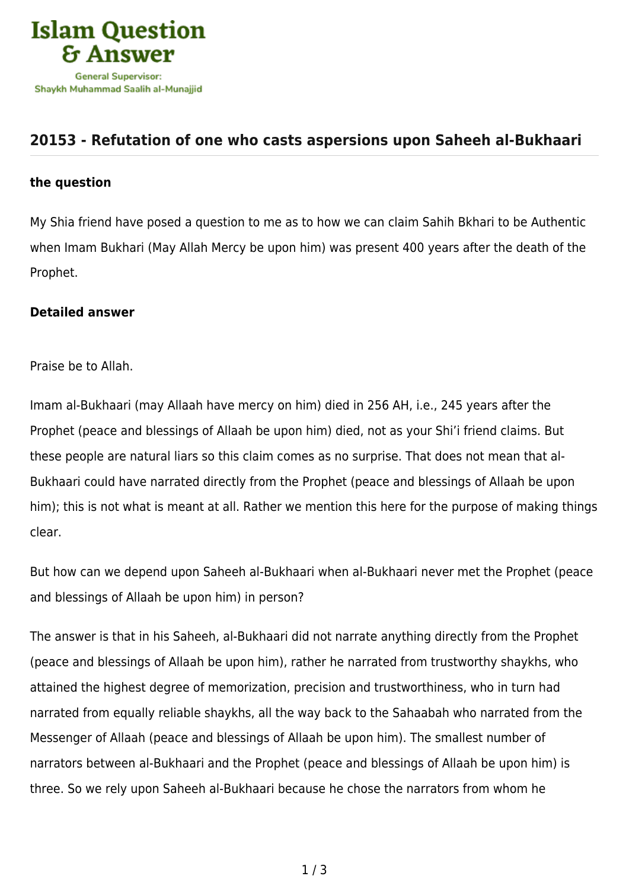

## **[20153 - Refutation of one who casts aspersions upon Saheeh al-Bukhaari](https://islamqa.com/en/answers/20153/refutation-of-one-who-casts-aspersions-upon-saheeh-al-bukhaari)**

## **the question**

My Shia friend have posed a question to me as to how we can claim Sahih Bkhari to be Authentic when Imam Bukhari (May Allah Mercy be upon him) was present 400 years after the death of the Prophet.

## **Detailed answer**

Praise be to Allah.

Imam al-Bukhaari (may Allaah have mercy on him) died in 256 AH, i.e., 245 years after the Prophet (peace and blessings of Allaah be upon him) died, not as your Shi'i friend claims. But these people are natural liars so this claim comes as no surprise. That does not mean that al-Bukhaari could have narrated directly from the Prophet (peace and blessings of Allaah be upon him); this is not what is meant at all. Rather we mention this here for the purpose of making things clear.

But how can we depend upon Saheeh al-Bukhaari when al-Bukhaari never met the Prophet (peace and blessings of Allaah be upon him) in person?

The answer is that in his Saheeh, al-Bukhaari did not narrate anything directly from the Prophet (peace and blessings of Allaah be upon him), rather he narrated from trustworthy shaykhs, who attained the highest degree of memorization, precision and trustworthiness, who in turn had narrated from equally reliable shaykhs, all the way back to the Sahaabah who narrated from the Messenger of Allaah (peace and blessings of Allaah be upon him). The smallest number of narrators between al-Bukhaari and the Prophet (peace and blessings of Allaah be upon him) is three. So we rely upon Saheeh al-Bukhaari because he chose the narrators from whom he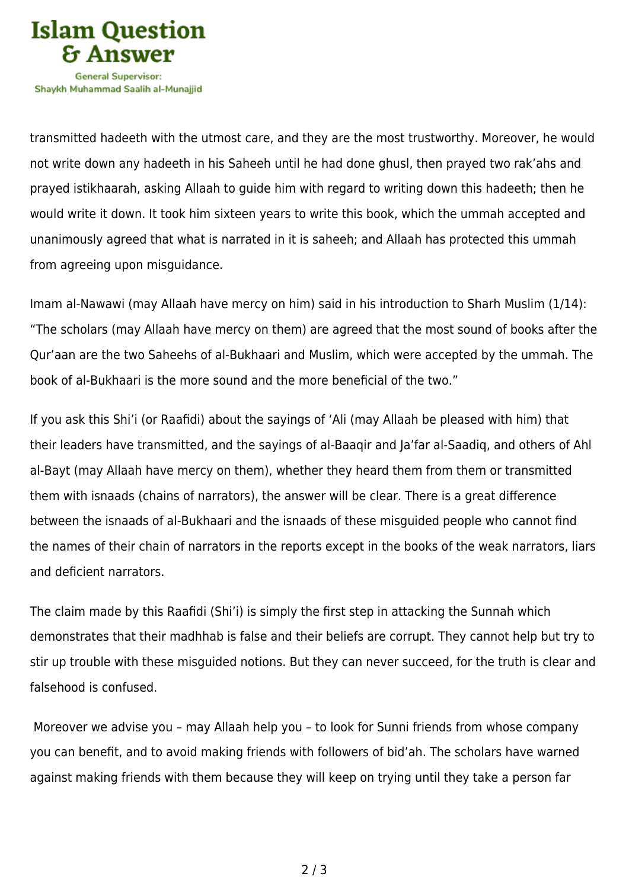

transmitted hadeeth with the utmost care, and they are the most trustworthy. Moreover, he would not write down any hadeeth in his Saheeh until he had done ghusl, then prayed two rak'ahs and prayed istikhaarah, asking Allaah to guide him with regard to writing down this hadeeth; then he would write it down. It took him sixteen years to write this book, which the ummah accepted and unanimously agreed that what is narrated in it is saheeh; and Allaah has protected this ummah from agreeing upon misguidance.

Imam al-Nawawi (may Allaah have mercy on him) said in his introduction to Sharh Muslim (1/14): "The scholars (may Allaah have mercy on them) are agreed that the most sound of books after the Qur'aan are the two Saheehs of al-Bukhaari and Muslim, which were accepted by the ummah. The book of al-Bukhaari is the more sound and the more beneficial of the two."

If you ask this Shi'i (or Raafidi) about the sayings of 'Ali (may Allaah be pleased with him) that their leaders have transmitted, and the sayings of al-Baaqir and Ja'far al-Saadiq, and others of Ahl al-Bayt (may Allaah have mercy on them), whether they heard them from them or transmitted them with isnaads (chains of narrators), the answer will be clear. There is a great difference between the isnaads of al-Bukhaari and the isnaads of these misguided people who cannot find the names of their chain of narrators in the reports except in the books of the weak narrators, liars and deficient narrators.

The claim made by this Raafidi (Shi'i) is simply the first step in attacking the Sunnah which demonstrates that their madhhab is false and their beliefs are corrupt. They cannot help but try to stir up trouble with these misguided notions. But they can never succeed, for the truth is clear and falsehood is confused.

 Moreover we advise you – may Allaah help you – to look for Sunni friends from whose company you can benefit, and to avoid making friends with followers of bid'ah. The scholars have warned against making friends with them because they will keep on trying until they take a person far